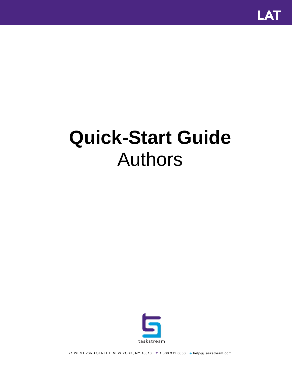

# **Quick-Start Guide** Authors



71 WEST 23RD STREET, NEW YORK, NY 10010 · T 1.800.311.5656 · e help@Taskstream.com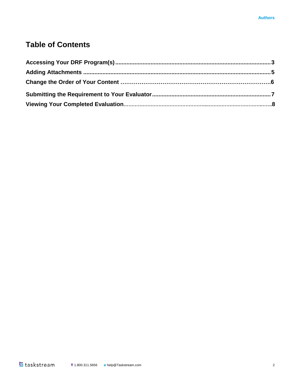## **Table of Contents**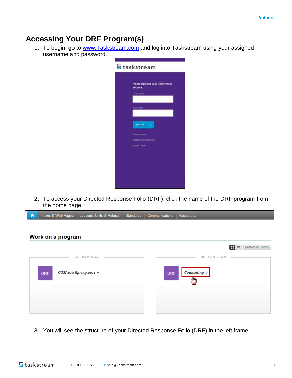### **Accessing Your DRF Program(s)**

1. To begin, go to [www.Taskstream.com](http://www.taskstream.com/) and log into Taskstream using your assigned username and password.

| <b>5</b> taskstream                                       |  |
|-----------------------------------------------------------|--|
| Please sign into your Taskstream<br>account.<br>Username  |  |
| Password                                                  |  |
| SIGN IN 2<br>FORGOT LOGIN<br><b>CREATE/RENEW ACCOUNT:</b> |  |
| REDUCTTIVELY:                                             |  |
|                                                           |  |

2. To access your Directed Response Folio (DRF), click the name of the DRF program from the home page.

| $\hat{\mathbf{n}}$ | Folios & Web Pages | Lessons, Units & Rubrics                    | Standards | Communications | <b>Resources</b>                         |
|--------------------|--------------------|---------------------------------------------|-----------|----------------|------------------------------------------|
|                    | Work on a program  |                                             |           |                |                                          |
|                    |                    |                                             |           |                | ⊞ ≣<br>Customize Display                 |
| <b>DRF</b>         |                    | <b>DRF PROGRAM</b><br>COM 100 Spring 2011 » |           | <b>DRF</b>     | <b>DRF PROGRAM</b><br>Counseling »<br>7m |

3. You will see the structure of your Directed Response Folio (DRF) in the left frame.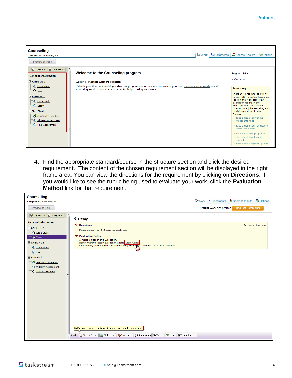| Counseling<br>Template: Counseling MA<br>Preview as Folio                                                                                                          |                                                                           |                                                                                                                         | Comments | 魯 Scores/Results                                                                                                                                                                                                                                                                                                                                                                                                                                                              | <b>Options</b> |
|--------------------------------------------------------------------------------------------------------------------------------------------------------------------|---------------------------------------------------------------------------|-------------------------------------------------------------------------------------------------------------------------|----------|-------------------------------------------------------------------------------------------------------------------------------------------------------------------------------------------------------------------------------------------------------------------------------------------------------------------------------------------------------------------------------------------------------------------------------------------------------------------------------|----------------|
| Expand All Collapse All<br><b>General Information</b><br>$\exists$ CNSL 332                                                                                        | Welcome to the Counseling program<br><b>Getting Started with Programs</b> |                                                                                                                         |          | <b>Program Links</b><br>• Overview                                                                                                                                                                                                                                                                                                                                                                                                                                            |                |
| Case Study<br><b>♦ Essay</b><br>$=$ CNSL 425<br>Case Study<br><b>Essay</b><br>Site Visit<br>Site Visit Evaluation<br>Midterm Assessment<br><b>Einal Assessment</b> | Mentoring Services at 1.800.311.5656 for help starting your work.         | If this is your first time working within DRF programs, you may wish to view or print our Getting Started Guide or call |          | <b>Ø</b> More Help<br>In the DRF program, add work<br>to your DRF (Directed Response<br>Folio) in the Work tab. View<br>evaluation results in the<br>Scores/Results tab, and find<br>other options (like e-mailing and<br>publishing options) in the<br>Options tab.<br>. Take a Flash Tour of the<br>Author Interface<br>• Take a Flash Tour on How to<br>Add/Submit Work<br>• More about DRF programs<br>. More about how to add<br>content<br>• More about Program Options |                |

4. Find the appropriate standard/course in the structure section and click the desired requirement. The content of the chosen requirement section will be displayed in the right frame area. You can view the directions for the requirement by clicking on **Directions**. If you would like to see the rubric being used to evaluate your work, click the **Evaluation Method** link for that requirement.

| Counseling                                                                                                                                                                                                                                                                                                                                                                                                                                                                                                                                                                                                                                                |                                                            |
|-----------------------------------------------------------------------------------------------------------------------------------------------------------------------------------------------------------------------------------------------------------------------------------------------------------------------------------------------------------------------------------------------------------------------------------------------------------------------------------------------------------------------------------------------------------------------------------------------------------------------------------------------------------|------------------------------------------------------------|
| Template: Counseling MA                                                                                                                                                                                                                                                                                                                                                                                                                                                                                                                                                                                                                                   | D Work   % Comments   每 Scores/Results   © Options         |
| Preview as Folio                                                                                                                                                                                                                                                                                                                                                                                                                                                                                                                                                                                                                                          | <b>Request Comments</b><br><b>Status: Work Not Started</b> |
| $\blacktriangle$<br>Expand All Collapse All<br>$\Diamond$ Essay<br><b>General Information</b><br>$\nabla$ Directions<br>$\Box$ CNSL 332<br>Please upload your 6-8 page research essay.<br>Case Study<br><b>▼ Evaluation Method</b><br>Essay<br>A rubric is used in this Evaluation.<br>$C$ <sub>CNSL</sub> 425<br>Name of rubric: Essay Evaluation Rubric [View rubric]<br>Final scoring method: Score is automatically compuled based on rubric criteria scores<br>Case Study<br><b>Essay</b><br>□ Site Visit<br>Site Visit Evaluation<br>Midterm Assessment<br><b>Einal Assessment</b><br>Of To begin, select the type of content you would like to add | <sup>O</sup> Help on this Page                             |
| Add: Thext & Image   Slideshow   9 Standards   0 Attachments   1 Videos   9 Links   Fembed Media                                                                                                                                                                                                                                                                                                                                                                                                                                                                                                                                                          |                                                            |
|                                                                                                                                                                                                                                                                                                                                                                                                                                                                                                                                                                                                                                                           |                                                            |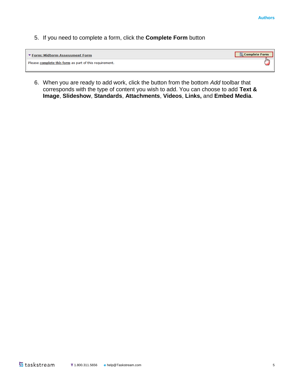5. If you need to complete a form, click the **Complete Form** button

| ▼ Form: Midterm Assessment Form                        | ि Complete Form |
|--------------------------------------------------------|-----------------|
| Please complete this form as part of this requirement. | 1m              |

6. When you are ready to add work, click the button from the bottom *Add* toolbar that corresponds with the type of content you wish to add. You can choose to add **Text & Image**, **Slideshow**, **Standards**, **Attachments**, **Videos**, **Links,** and **Embed Media**.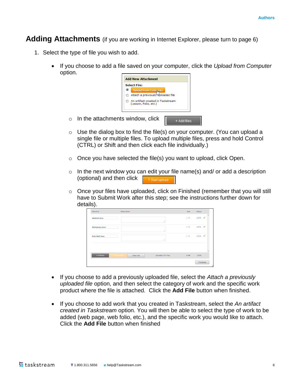#### **Adding Attachments** (if you are working in Internet Explorer, please turn to page 6)

- 1. Select the type of file you wish to add.
	- If you choose to add a file saved on your computer, click the *Upload from Computer* option.



- $\circ$  Use the dialog box to find the file(s) on your computer. (You can upload a single file or multiple files. To upload multiple files, press and hold Control (CTRL) or Shift and then click each file individually.)
- $\circ$  Once you have selected the file(s) you want to upload, click Open.
- $\circ$  In the next window you can edit your file name(s) and/ or add a description (optional) and then click <sup>1</sup> Start upload
- o Once your files have uploaded, click on Finished (remember that you will still have to Submit Work after this step; see the instructions further down for details).

| Filename         | Description    |            |                    | <b>Size</b> | <b>Status</b> |  |
|------------------|----------------|------------|--------------------|-------------|---------------|--|
| Abstract.docx    |                |            | $\cdot$ : :        | $1$ MB      | $100\%$       |  |
| Bibliograpy.docx |                |            | $\ddot{\cdots}$    | $1$ MB      | 100% ↓        |  |
| First draft.docx |                |            | $\ddot{\cdots}$    | $1$ MB      | 100% ↓        |  |
|                  |                |            |                    |             |               |  |
| + Add files      | ↑ Start upload | Clear List | Uploaded 3/3 files | 4 MB        | 100%          |  |
|                  |                |            |                    |             | Finished      |  |

- If you choose to add a previously uploaded file, select the *Attach a previously uploaded file* option, and then select the category of work and the specific work product where the file is attached. Click the **Add File** button when finished.
- If you choose to add work that you created in Taskstream, select the *An artifact created in Taskstream* option. You will then be able to select the type of work to be added (web page, web folio, etc.), and the specific work you would like to attach. Click the **Add File** button when finished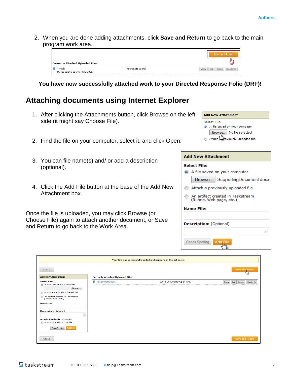2. When you are done adding attachments, click **Save and Return** to go back to the main program work area.



**You have now successfully attached work to your Directed Response Folio (DRF)!**

#### **Attaching documents using Internet Explorer**

- 1. After clicking the Attachments button, click Browse on the left side (it might say Choose File).
- 2. Find the file on your computer, select it, and click Open.
- 3. You can file name(s) and/ or add a description (optional).
- 4. Click the Add File button at the base of the Add New Attachment box.

Once the file is uploaded, you may click Browse (or Choose File) again to attach another document, or Save and Return to go back to the Work Area.

| <b>Add New Attachment</b> |                                                        |  |
|---------------------------|--------------------------------------------------------|--|
| <b>Select File:</b>       |                                                        |  |
|                           | A file saved on your computer                          |  |
| Browse <sub>-</sub>       | No file selected.<br>Attach A previously uploaded file |  |

| <b>Add New Attachment</b>                                     |
|---------------------------------------------------------------|
| <b>Select File:</b>                                           |
| a A file saved on your computer                               |
| Browse. SupportingDocument.docx                               |
| Attach a previously uploaded file                             |
| An artifact created in Taskstream<br>(Rubric, Web page, etc.) |
| Name File:                                                    |
| <b>Description:</b> (Optional)                                |
|                                                               |
| <b>Add File</b><br>Check Spelling                             |

|                                                                                                                                                                                                                                                                        |                                          | Your file was successfully added and appears on the list below. |                                     |
|------------------------------------------------------------------------------------------------------------------------------------------------------------------------------------------------------------------------------------------------------------------------|------------------------------------------|-----------------------------------------------------------------|-------------------------------------|
| Cancel<br><b>Add New Attachment</b>                                                                                                                                                                                                                                    | <b>Currently Attached Uploaded Files</b> |                                                                 | Save and Return                     |
| <b>Select File:</b><br>A file saved on your computer<br>Browse<br>Attach a previously uploaded file<br>◉<br>An artifact created in Taskstream<br>(Lesson, Folio, etc.)<br>◉<br><b>Name File:</b><br><b>Description: (Optional)</b><br>$\hat{\overline{\phantom{a}}}\,$ | $\mathbf{w}$<br>Assignment.docx          | Word Document (Open XML)                                        | Delete<br>View<br>Edit<br>Standards |
| <b>Attach Standards: (Optional)</b><br>Attach standards to this file<br>Check Spelling Add File<br>Cancel                                                                                                                                                              |                                          |                                                                 | <b>Save and Return</b>              |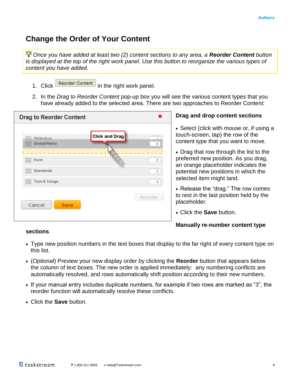#### **Change the Order of Your Content**

 $\mathbb{F}_{\mathbb{R}}^{\mathbb{R}}$  Once you have added at least two (2) content sections to any area, a **Reorder Content** button *is displayed at the top of the right work panel. Use this button to reorganize the various types of content you have added.*

- 1. Click Repretation Content in the right work panel.
- 2. In the *Drag to Reorder Content* pop-up box you will see the various content types that you have already added to the selected area. There are two approaches to Reorder Content:

| <b>Drag to Reorder Content</b>                   | ◙       | Drag and drop content sections                                                                                         |
|--------------------------------------------------|---------|------------------------------------------------------------------------------------------------------------------------|
| <b>Click and Drag</b><br>Slideshow<br>EmbedMedia | 5       | • Select (click with mouse or, if using a<br>touch-screen, tap) the row of the<br>content type that you want to move.  |
| = Form<br>Standards                              | 2<br>3  | • Drag that row through the list to the<br>preferred new position. As you drag,<br>an orange placeholder indicates the |
| Text & Image                                     | 4       | potential new positions in which the<br>selected item might land.                                                      |
| Cancel<br>Save                                   | Reorder | • Release the "drag." The row comes<br>to rest in the last position held by the<br>placeholder.                        |
|                                                  |         | • Click the <b>Save</b> button.                                                                                        |
|                                                  |         | Manually re-number content type                                                                                        |

#### **sections**

- Type new position numbers in the text boxes that display to the far right of every content type on this list.
- (*Optional*) Preview your new display order by clicking the **Reorder** button that appears below the column of text boxes. The new order is applied immediately: any numbering conflicts are automatically resolved, and rows automatically shift position according to their new numbers.
- If your manual entry includes duplicate numbers, for example if two rows are marked as "3", the reorder function will automatically resolve these conflicts.
- Click the **Save** button.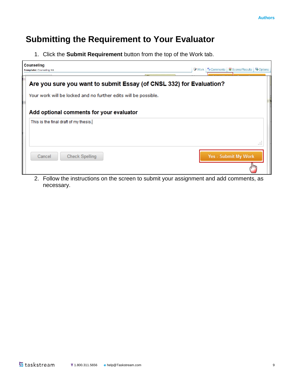## **Submitting the Requirement to Your Evaluator**

1. Click the **Submit Requirement** button from the top of the Work tab.

| <b>Counseling</b><br>Template: Counseling MA                                            | ■ Work   ", Comments   每 Scores/Results  <br><b>Options</b> |
|-----------------------------------------------------------------------------------------|-------------------------------------------------------------|
| Are you sure you want to submit Essay (of CNSL 332) for Evaluation?                     |                                                             |
| Your work will be locked and no further edits will be possible.                         |                                                             |
| Add optional comments for your evaluator                                                |                                                             |
| This is the final draft of my thesis.                                                   |                                                             |
|                                                                                         |                                                             |
| <b>Check Spelling</b><br>Cancel                                                         | Yes - Submit My Work                                        |
| C.<br>Eallow the instructions on the coroon to outpoit your conjanment and add commants |                                                             |

2. Follow the instructions on the screen to submit your assignment and add comments, as necessary.